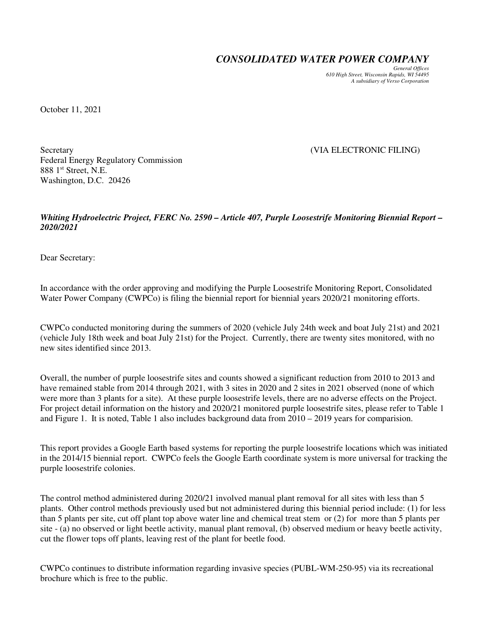*CONSOLIDATED WATER POWER COMPANY*

*General Offices 610 High Street, Wisconsin Rapids, WI 54495 A subsidiary of Verso Corporation* 

October 11, 2021

Secretary (VIA ELECTRONIC FILING) Federal Energy Regulatory Commission 888 1<sup>st</sup> Street, N.E. Washington, D.C. 20426

*Whiting Hydroelectric Project, FERC No. 2590 – Article 407, Purple Loosestrife Monitoring Biennial Report – 2020/2021* 

Dear Secretary:

In accordance with the order approving and modifying the Purple Loosestrife Monitoring Report, Consolidated Water Power Company (CWPCo) is filing the biennial report for biennial years 2020/21 monitoring efforts.

CWPCo conducted monitoring during the summers of 2020 (vehicle July 24th week and boat July 21st) and 2021 (vehicle July 18th week and boat July 21st) for the Project. Currently, there are twenty sites monitored, with no new sites identified since 2013.

Overall, the number of purple loosestrife sites and counts showed a significant reduction from 2010 to 2013 and have remained stable from 2014 through 2021, with 3 sites in 2020 and 2 sites in 2021 observed (none of which were more than 3 plants for a site). At these purple loosestrife levels, there are no adverse effects on the Project. For project detail information on the history and 2020/21 monitored purple loosestrife sites, please refer to Table 1 and Figure 1. It is noted, Table 1 also includes background data from 2010 – 2019 years for comparision.

This report provides a Google Earth based systems for reporting the purple loosestrife locations which was initiated in the 2014/15 biennial report. CWPCo feels the Google Earth coordinate system is more universal for tracking the purple loosestrife colonies.

The control method administered during 2020/21 involved manual plant removal for all sites with less than 5 plants. Other control methods previously used but not administered during this biennial period include: (1) for less than 5 plants per site, cut off plant top above water line and chemical treat stem or (2) for more than 5 plants per site - (a) no observed or light beetle activity, manual plant removal, (b) observed medium or heavy beetle activity, cut the flower tops off plants, leaving rest of the plant for beetle food.

CWPCo continues to distribute information regarding invasive species (PUBL-WM-250-95) via its recreational brochure which is free to the public.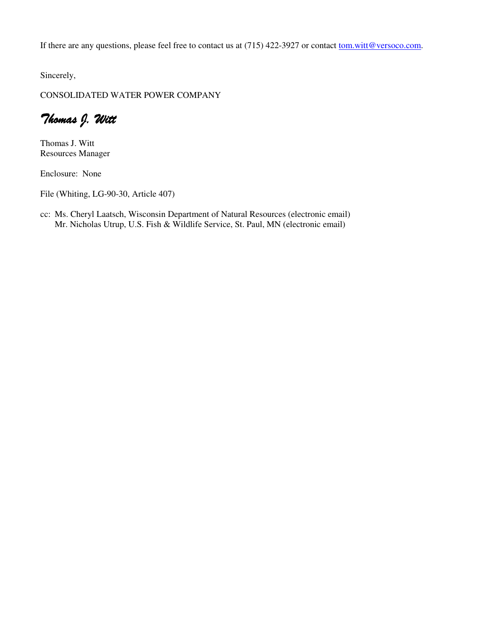If there are any questions, please feel free to contact us at (715) 422-3927 or contact tom.witt@versoco.com.

Sincerely,

CONSOLIDATED WATER POWER COMPANY

Thomas J. Witt

Thomas J. Witt Resources Manager

Enclosure: None

File (Whiting, LG-90-30, Article 407)

cc: Ms. Cheryl Laatsch, Wisconsin Department of Natural Resources (electronic email) Mr. Nicholas Utrup, U.S. Fish & Wildlife Service, St. Paul, MN (electronic email)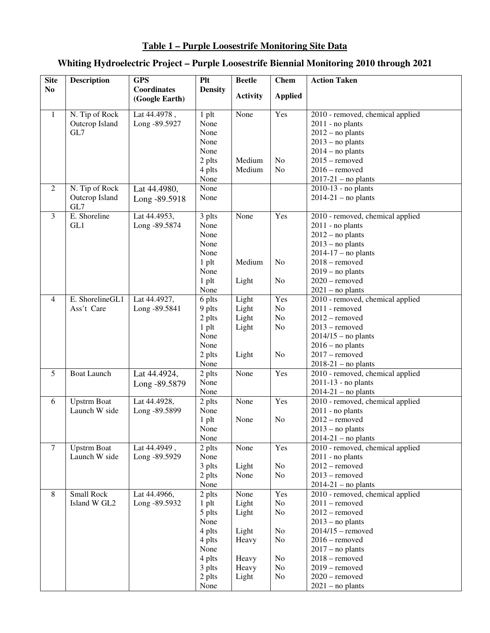## **Table 1 – Purple Loosestrife Monitoring Site Data**

## **Whiting Hydroelectric Project – Purple Loosestrife Biennial Monitoring 2010 through 2021**

| <b>Site</b>    | <b>Description</b> | <b>GPS</b>         | <b>Plt</b>     | <b>Beetle</b>   | <b>Chem</b>    | <b>Action Taken</b>              |
|----------------|--------------------|--------------------|----------------|-----------------|----------------|----------------------------------|
| N <sub>0</sub> |                    | <b>Coordinates</b> | <b>Density</b> |                 |                |                                  |
|                |                    | (Google Earth)     |                | <b>Activity</b> | <b>Applied</b> |                                  |
| $\mathbf{1}$   | N. Tip of Rock     | Lat 44.4978,       | $1$ plt        | None            | Yes            | 2010 - removed, chemical applied |
|                | Outcrop Island     | Long -89.5927      | None           |                 |                | $2011$ - no plants               |
|                | GL7                |                    | None           |                 |                | $2012$ – no plants               |
|                |                    |                    | None           |                 |                | $2013$ – no plants               |
|                |                    |                    | None           |                 |                | $2014 - no$ plants               |
|                |                    |                    | 2 plts         | Medium          | No             | $2015$ – removed                 |
|                |                    |                    | 4 plts         | Medium          | No             | $2016$ – removed                 |
|                |                    |                    | None           |                 |                | $2017-21$ – no plants            |
| 2              | N. Tip of Rock     | Lat 44.4980,       | None           |                 |                | $2010-13$ - no plants            |
|                | Outcrop Island     | Long -89.5918      | None           |                 |                | $2014-21$ – no plants            |
|                | GL7                |                    |                |                 |                |                                  |
| $\mathfrak{Z}$ | E. Shoreline       | Lat 44.4953,       | 3 plts         | None            | Yes            | 2010 - removed, chemical applied |
|                | GL1                | Long -89.5874      | None           |                 |                | 2011 - no plants                 |
|                |                    |                    | None           |                 |                | $2012$ – no plants               |
|                |                    |                    | None           |                 |                | $2013$ – no plants               |
|                |                    |                    | None           |                 |                | $2014-17$ - no plants            |
|                |                    |                    | $1$ plt        | Medium          | No             | $2018$ – removed                 |
|                |                    |                    | None           |                 |                | $2019 - no$ plants               |
|                |                    |                    | $1$ plt        | Light           | No             | $2020$ – removed                 |
|                |                    |                    | None           |                 |                | $2021$ – no plants               |
| 4              | E. ShorelineGL1    | Lat 44.4927,       | 6 plts         | Light           | Yes            | 2010 - removed, chemical applied |
|                | Ass't Care         | Long -89.5841      | 9 plts         | Light           | No             | 2011 - removed                   |
|                |                    |                    | 2 plts         | Light           | No             | $2012$ – removed                 |
|                |                    |                    | 1 plt          | Light           | N <sub>o</sub> | $2013$ – removed                 |
|                |                    |                    | None           |                 |                | $2014/15$ – no plants            |
|                |                    |                    | None           |                 |                | $2016 - no$ plants               |
|                |                    |                    | 2 plts         | Light           | No             | $2017$ – removed                 |
|                |                    |                    | None           |                 |                | $2018-21$ - no plants            |
| 5              | <b>Boat Launch</b> | Lat 44.4924,       | 2 plts         | None            | Yes            | 2010 - removed, chemical applied |
|                |                    | Long -89.5879      | None           |                 |                | $2011-13$ - no plants            |
|                |                    |                    | None           |                 |                | $2014-21$ – no plants            |
| 6              | <b>Upstrm Boat</b> | Lat 44.4928,       | 2 plts         | None            | Yes            | 2010 - removed, chemical applied |
|                | Launch W side      | Long -89.5899      | None           |                 |                | 2011 - no plants                 |
|                |                    |                    | $1$ plt        | None            | No             | $2012$ – removed                 |
|                |                    |                    | None           |                 |                | $2013 - no$ plants               |
|                |                    |                    | None           |                 |                | $2014-21$ – no plants            |
| $\tau$         | <b>Upstrm Boat</b> | Lat 44.4949,       | 2 plts         | None            | Yes            | 2010 - removed, chemical applied |
|                | Launch W side      | Long -89.5929      | None           |                 |                | $2011$ - no plants               |
|                |                    |                    | 3 plts         | Light           | N <sub>o</sub> | $2012$ – removed                 |
|                |                    |                    | 2 plts         | None            | No             | $2013$ – removed                 |
|                |                    |                    | None           |                 |                | $2014-21$ – no plants            |
| $\overline{8}$ | Small Rock         | Lat 44.4966,       | 2 plts         | None            | Yes            | 2010 - removed, chemical applied |
|                | Island W GL2       | Long -89.5932      | $1$ plt        | Light           | No             | $2011$ – removed                 |
|                |                    |                    | 5 plts         | Light           | N <sub>o</sub> | $2012$ – removed                 |
|                |                    |                    | None           |                 |                | $2013$ – no plants               |
|                |                    |                    | 4 plts         | Light           | N <sub>o</sub> | $2014/15$ – removed              |
|                |                    |                    | 4 plts         | Heavy           | N <sub>o</sub> | $2016$ – removed                 |
|                |                    |                    | None           |                 |                | $2017 - no$ plants               |
|                |                    |                    | 4 plts         | Heavy           | N <sub>o</sub> | $2018$ – removed                 |
|                |                    |                    | 3 plts         | Heavy           | No             | $2019$ – removed                 |
|                |                    |                    | 2 plts         | Light           | No             | $2020$ – removed                 |
|                |                    |                    | None           |                 |                | $2021$ – no plants               |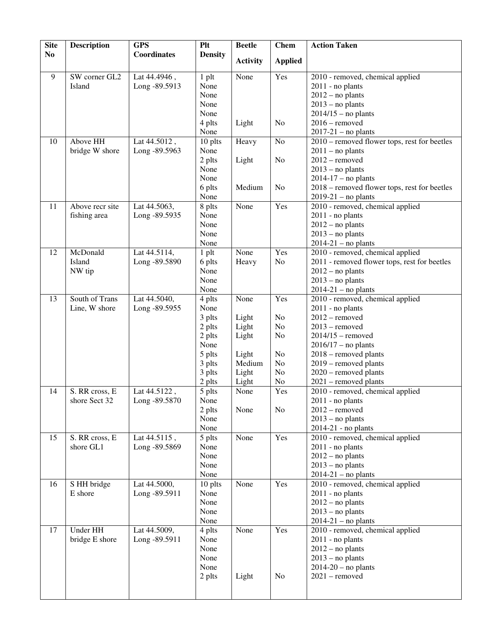| <b>Site</b>    | <b>Description</b> | <b>GPS</b>         | <b>Plt</b>     | <b>Beetle</b>   | <b>Chem</b>    | <b>Action Taken</b>                          |
|----------------|--------------------|--------------------|----------------|-----------------|----------------|----------------------------------------------|
| N <sub>0</sub> |                    | <b>Coordinates</b> | <b>Density</b> | <b>Activity</b> | <b>Applied</b> |                                              |
|                |                    |                    |                |                 |                |                                              |
| $\overline{9}$ | SW corner GL2      | Lat 44.4946,       | 1 plt          | None            | Yes            | 2010 - removed, chemical applied             |
|                | Island             | Long -89.5913      | None           |                 |                | $2011$ - no plants                           |
|                |                    |                    | None           |                 |                | $2012$ – no plants                           |
|                |                    |                    | None           |                 |                | $2013$ – no plants                           |
|                |                    |                    | None           |                 |                | $2014/15$ – no plants                        |
|                |                    |                    | 4 plts         | Light           | N <sub>o</sub> | $2016$ – removed                             |
|                |                    |                    | None           |                 |                | $2017-21$ – no plants                        |
| 10             | Above HH           | Lat 44.5012,       | 10 plts        | Heavy           | $\rm No$       | 2010 – removed flower tops, rest for beetles |
|                | bridge W shore     | Long -89.5963      | None           |                 |                | $2011 - no$ plants                           |
|                |                    |                    | 2 plts         | Light           | No             | $2012$ – removed                             |
|                |                    |                    | None           |                 |                | $2013$ – no plants                           |
|                |                    |                    | None           |                 |                | $2014-17$ - no plants                        |
|                |                    |                    | 6 plts         | Medium          | No             | 2018 – removed flower tops, rest for beetles |
|                |                    |                    | None           |                 |                | $2019-21$ – no plants                        |
| 11             | Above recr site    | Lat 44.5063,       | 8 plts         | None            | Yes            | 2010 - removed, chemical applied             |
|                | fishing area       | Long -89.5935      | None           |                 |                | $2011$ - no plants                           |
|                |                    |                    | None           |                 |                | $2012$ – no plants                           |
|                |                    |                    | None<br>None   |                 |                | $2013$ – no plants                           |
|                | McDonald           |                    |                | None            | Yes            | $2014-21$ – no plants                        |
| 12             | Island             | Lat 44.5114,       | $1$ plt        |                 | No             | 2010 - removed, chemical applied             |
|                |                    | Long -89.5890      | 6 plts<br>None | Heavy           |                | 2011 - removed flower tops, rest for beetles |
|                | NW tip             |                    | None           |                 |                | $2012$ – no plants<br>$2013$ – no plants     |
|                |                    |                    | None           |                 |                | $2014-21$ - no plants                        |
| 13             | South of Trans     | Lat 44.5040,       | 4 plts         | None            | Yes            | 2010 - removed, chemical applied             |
|                | Line, W shore      | Long -89.5955      | None           |                 |                | $2011$ - no plants                           |
|                |                    |                    | 3 plts         | Light           | No             | $2012$ – removed                             |
|                |                    |                    | 2 plts         | Light           | No             | $2013$ – removed                             |
|                |                    |                    | 2 plts         | Light           | N <sub>o</sub> | $2014/15$ – removed                          |
|                |                    |                    | None           |                 |                | $2016/17$ - no plants                        |
|                |                    |                    | 5 plts         | Light           | No             | 2018 - removed plants                        |
|                |                    |                    | 3 plts         | Medium          | No             | 2019 - removed plants                        |
|                |                    |                    | 3 plts         | Light           | No             | 2020 - removed plants                        |
|                |                    |                    | 2 plts         | Light           | N <sub>0</sub> | 2021 – removed plants                        |
| 14             | S. RR cross, E     | Lat 44.5122,       | 5 plts         | None            | Yes            | 2010 - removed, chemical applied             |
|                | shore Sect 32      | Long -89.5870      | None           |                 |                | $2011$ - no plants                           |
|                |                    |                    | 2 plts         | None            | N <sub>o</sub> | $2012$ – removed                             |
|                |                    |                    | None           |                 |                | $2013 - no$ plants                           |
|                |                    |                    | None           |                 |                | $2014-21$ - no plants                        |
| 15             | S. RR cross, E     | Lat 44.5115,       | 5 plts         | None            | Yes            | 2010 - removed, chemical applied             |
|                | shore GL1          | Long -89.5869      | None           |                 |                | $2011$ - no plants                           |
|                |                    |                    | None           |                 |                | $2012$ – no plants                           |
|                |                    |                    | None           |                 |                | $2013$ – no plants                           |
|                |                    |                    | None           |                 |                | $2014-21$ – no plants                        |
| 16             | S HH bridge        | Lat 44.5000,       | 10 plts        | None            | Yes            | 2010 - removed, chemical applied             |
|                | E shore            | Long -89.5911      | None           |                 |                | $2011$ - no plants                           |
|                |                    |                    | None           |                 |                | $2012$ – no plants                           |
|                |                    |                    | None           |                 |                | $2013$ – no plants                           |
|                |                    |                    | None           |                 |                | $2014-21$ – no plants                        |
| 17             | Under HH           | Lat 44.5009,       | 4 plts         | None            | Yes            | 2010 - removed, chemical applied             |
|                | bridge E shore     | Long -89.5911      | None           |                 |                | $2011$ - no plants                           |
|                |                    |                    | None           |                 |                | $2012$ – no plants                           |
|                |                    |                    | None           |                 |                | $2013 - no$ plants                           |
|                |                    |                    | None           |                 |                | $2014-20$ – no plants                        |
|                |                    |                    | 2 plts         | Light           | N <sub>0</sub> | $2021$ – removed                             |
|                |                    |                    |                |                 |                |                                              |
|                |                    |                    |                |                 |                |                                              |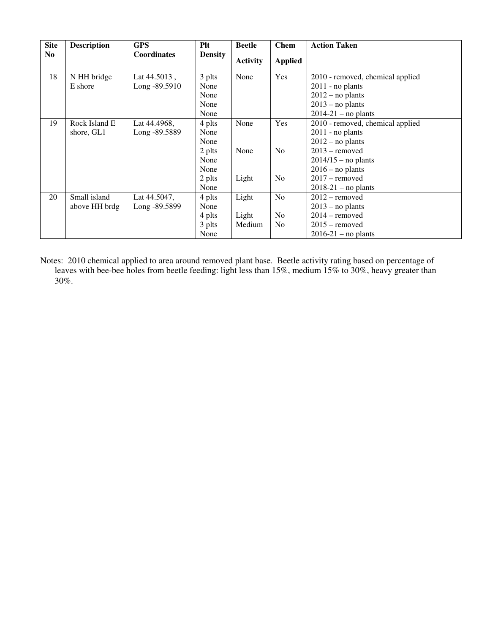| <b>Site</b>    | <b>Description</b> | <b>GPS</b>         | Plt            | <b>Beetle</b>   | <b>Chem</b>    | <b>Action Taken</b>              |
|----------------|--------------------|--------------------|----------------|-----------------|----------------|----------------------------------|
| N <sub>0</sub> |                    | <b>Coordinates</b> | <b>Density</b> | <b>Activity</b> | <b>Applied</b> |                                  |
| 18             | N HH bridge        | Lat $44.5013$ .    | 3 plts         | None            | Yes            | 2010 - removed, chemical applied |
|                | E shore            | Long -89.5910      | None           |                 |                | $2011$ - no plants               |
|                |                    |                    | None           |                 |                | $2012$ – no plants               |
|                |                    |                    | None           |                 |                | $2013$ – no plants               |
|                |                    |                    | None           |                 |                | $2014-21$ – no plants            |
| 19             | Rock Island E      | Lat 44.4968,       | 4 plts         | None            | Yes            | 2010 - removed, chemical applied |
|                | shore, GL1         | Long -89.5889      | None           |                 |                | $2011$ - no plants               |
|                |                    |                    | None           |                 |                | $2012$ – no plants               |
|                |                    |                    | 2 plts         | None            | N <sub>0</sub> | $2013$ – removed                 |
|                |                    |                    | None           |                 |                | $2014/15$ – no plants            |
|                |                    |                    | None           |                 |                | $2016$ – no plants               |
|                |                    |                    | 2 plts         | Light           | No             | $2017$ – removed                 |
|                |                    |                    | None           |                 |                | $2018-21$ – no plants            |
| 20             | Small island       | Lat 44.5047,       | 4 plts         | Light           | N <sub>0</sub> | $2012$ – removed                 |
|                | above HH brdg      | Long -89.5899      | None           |                 |                | $2013$ – no plants               |
|                |                    |                    | 4 plts         | Light           | N <sub>0</sub> | $2014$ – removed                 |
|                |                    |                    | 3 plts         | Medium          | N <sub>0</sub> | $2015$ – removed                 |
|                |                    |                    | None           |                 |                | $2016-21$ – no plants            |

Notes: 2010 chemical applied to area around removed plant base. Beetle activity rating based on percentage of leaves with bee-bee holes from beetle feeding: light less than 15%, medium 15% to 30%, heavy greater than 30%.